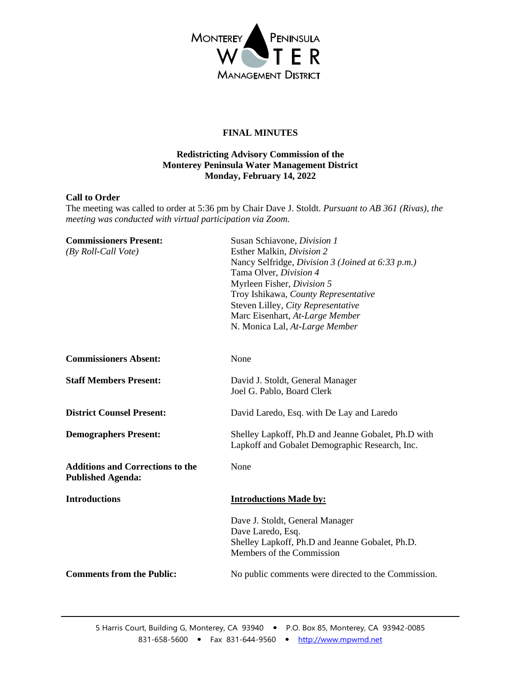

# **FINAL MINUTES**

## **Redistricting Advisory Commission of the Monterey Peninsula Water Management District Monday, February 14, 2022**

#### **Call to Order**

The meeting was called to order at 5:36 pm by Chair Dave J. Stoldt. *Pursuant to AB 361 (Rivas), the meeting was conducted with virtual participation via Zoom.*

| <b>Commissioners Present:</b>                                       | Susan Schiavone, Division 1                                                  |
|---------------------------------------------------------------------|------------------------------------------------------------------------------|
| $(By$ Roll-Call Vote)                                               | Esther Malkin, Division 2                                                    |
|                                                                     | Nancy Selfridge, Division 3 (Joined at 6:33 p.m.)                            |
|                                                                     | Tama Olver, Division 4                                                       |
|                                                                     | Myrleen Fisher, Division 5                                                   |
|                                                                     | Troy Ishikawa, County Representative                                         |
|                                                                     | Steven Lilley, City Representative                                           |
|                                                                     | Marc Eisenhart, At-Large Member                                              |
|                                                                     | N. Monica Lal, At-Large Member                                               |
| <b>Commissioners Absent:</b>                                        | None                                                                         |
| <b>Staff Members Present:</b>                                       | David J. Stoldt, General Manager                                             |
|                                                                     | Joel G. Pablo, Board Clerk                                                   |
| <b>District Counsel Present:</b>                                    | David Laredo, Esq. with De Lay and Laredo                                    |
| <b>Demographers Present:</b>                                        | Shelley Lapkoff, Ph.D and Jeanne Gobalet, Ph.D with                          |
|                                                                     | Lapkoff and Gobalet Demographic Research, Inc.                               |
| <b>Additions and Corrections to the</b><br><b>Published Agenda:</b> | None                                                                         |
| <b>Introductions</b>                                                | <b>Introductions Made by:</b>                                                |
|                                                                     | Dave J. Stoldt, General Manager<br>Dave Laredo, Esq.                         |
|                                                                     | Shelley Lapkoff, Ph.D and Jeanne Gobalet, Ph.D.<br>Members of the Commission |
| <b>Comments from the Public:</b>                                    | No public comments were directed to the Commission.                          |
|                                                                     |                                                                              |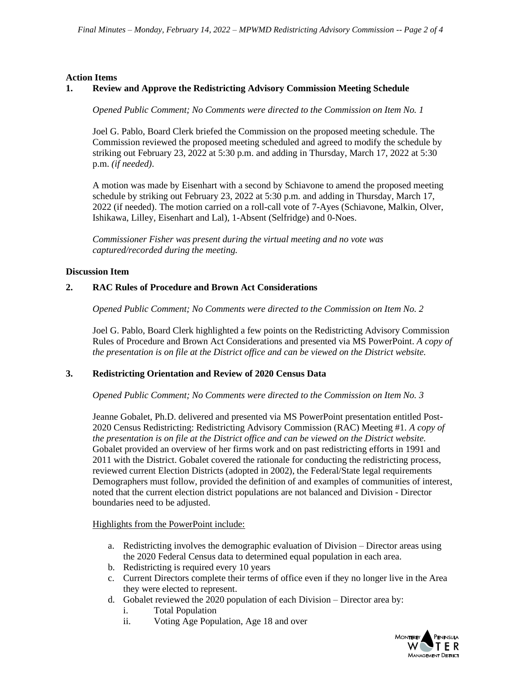#### **Action Items**

## **1. Review and Approve the Redistricting Advisory Commission Meeting Schedule**

*Opened Public Comment; No Comments were directed to the Commission on Item No. 1*

Joel G. Pablo, Board Clerk briefed the Commission on the proposed meeting schedule. The Commission reviewed the proposed meeting scheduled and agreed to modify the schedule by striking out February 23, 2022 at 5:30 p.m. and adding in Thursday, March 17, 2022 at 5:30 p.m. *(if needed)*.

A motion was made by Eisenhart with a second by Schiavone to amend the proposed meeting schedule by striking out February 23, 2022 at 5:30 p.m. and adding in Thursday, March 17, 2022 (if needed). The motion carried on a roll-call vote of 7-Ayes (Schiavone, Malkin, Olver, Ishikawa, Lilley, Eisenhart and Lal), 1-Absent (Selfridge) and 0-Noes.

*Commissioner Fisher was present during the virtual meeting and no vote was captured/recorded during the meeting.*

#### **Discussion Item**

#### **2. RAC Rules of Procedure and Brown Act Considerations**

*Opened Public Comment; No Comments were directed to the Commission on Item No. 2*

Joel G. Pablo, Board Clerk highlighted a few points on the Redistricting Advisory Commission Rules of Procedure and Brown Act Considerations and presented via MS PowerPoint. *A copy of the presentation is on file at the District office and can be viewed on the District website.* 

#### **3. Redistricting Orientation and Review of 2020 Census Data**

*Opened Public Comment; No Comments were directed to the Commission on Item No. 3*

Jeanne Gobalet, Ph.D. delivered and presented via MS PowerPoint presentation entitled Post-2020 Census Redistricting: Redistricting Advisory Commission (RAC) Meeting #1. *A copy of the presentation is on file at the District office and can be viewed on the District website.* Gobalet provided an overview of her firms work and on past redistricting efforts in 1991 and 2011 with the District. Gobalet covered the rationale for conducting the redistricting process, reviewed current Election Districts (adopted in 2002), the Federal/State legal requirements Demographers must follow, provided the definition of and examples of communities of interest, noted that the current election district populations are not balanced and Division - Director boundaries need to be adjusted.

#### Highlights from the PowerPoint include:

- a. Redistricting involves the demographic evaluation of Division Director areas using the 2020 Federal Census data to determined equal population in each area.
- b. Redistricting is required every 10 years
- c. Current Directors complete their terms of office even if they no longer live in the Area they were elected to represent.
- d. Gobalet reviewed the 2020 population of each Division Director area by:
	- i. Total Population
	- ii. Voting Age Population, Age 18 and over

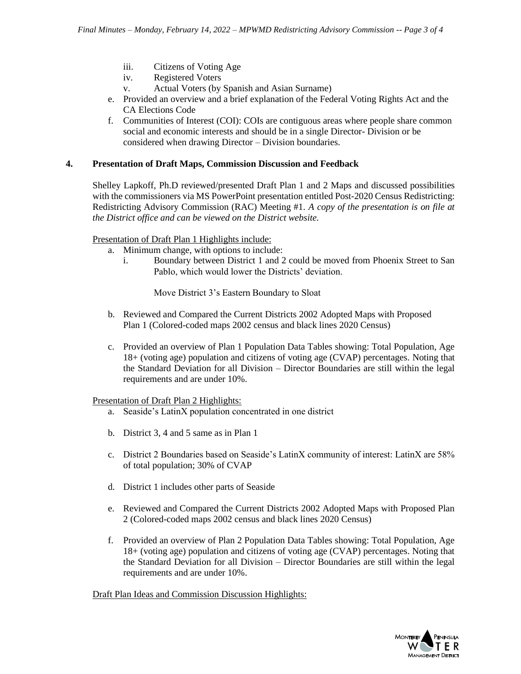- iii. Citizens of Voting Age
- iv. Registered Voters
- v. Actual Voters (by Spanish and Asian Surname)
- e. Provided an overview and a brief explanation of the Federal Voting Rights Act and the CA Elections Code
- f. Communities of Interest (COI): COIs are contiguous areas where people share common social and economic interests and should be in a single Director- Division or be considered when drawing Director – Division boundaries.

## **4. Presentation of Draft Maps, Commission Discussion and Feedback**

Shelley Lapkoff, Ph.D reviewed/presented Draft Plan 1 and 2 Maps and discussed possibilities with the commissioners via MS PowerPoint presentation entitled Post-2020 Census Redistricting: Redistricting Advisory Commission (RAC) Meeting #1. *A copy of the presentation is on file at the District office and can be viewed on the District website.*

## Presentation of Draft Plan 1 Highlights include:

- a. Minimum change, with options to include:
	- i. Boundary between District 1 and 2 could be moved from Phoenix Street to San Pablo, which would lower the Districts' deviation.

Move District 3's Eastern Boundary to Sloat

- b. Reviewed and Compared the Current Districts 2002 Adopted Maps with Proposed Plan 1 (Colored-coded maps 2002 census and black lines 2020 Census)
- c. Provided an overview of Plan 1 Population Data Tables showing: Total Population, Age 18+ (voting age) population and citizens of voting age (CVAP) percentages. Noting that the Standard Deviation for all Division – Director Boundaries are still within the legal requirements and are under 10%.

Presentation of Draft Plan 2 Highlights:

- a. Seaside's LatinX population concentrated in one district
- b. District 3, 4 and 5 same as in Plan 1
- c. District 2 Boundaries based on Seaside's LatinX community of interest: LatinX are 58% of total population; 30% of CVAP
- d. District 1 includes other parts of Seaside
- e. Reviewed and Compared the Current Districts 2002 Adopted Maps with Proposed Plan 2 (Colored-coded maps 2002 census and black lines 2020 Census)
- f. Provided an overview of Plan 2 Population Data Tables showing: Total Population, Age 18+ (voting age) population and citizens of voting age (CVAP) percentages. Noting that the Standard Deviation for all Division – Director Boundaries are still within the legal requirements and are under 10%.

Draft Plan Ideas and Commission Discussion Highlights: